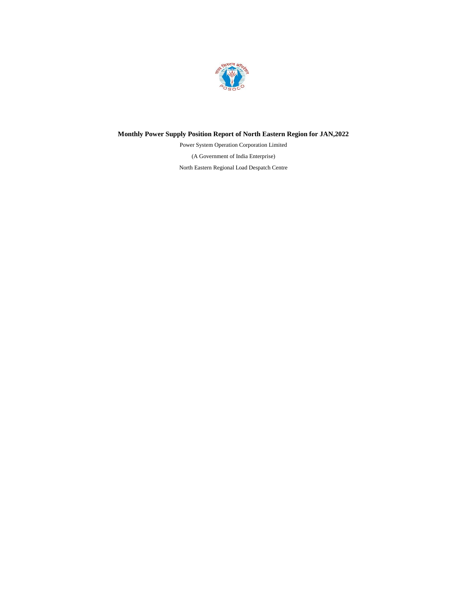

# **Monthly Power Supply Position Report of North Eastern Region for JAN,2022**

(A Government of India Enterprise) North Eastern Regional Load Despatch Centre Power System Operation Corporation Limited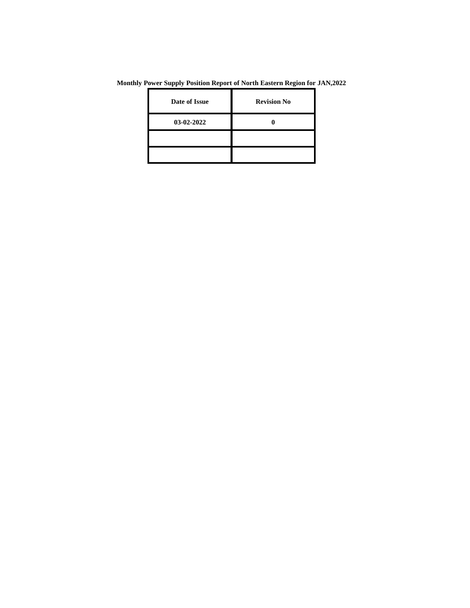| Date of Issue | <b>Revision No</b> |
|---------------|--------------------|
| 03-02-2022    |                    |
|               |                    |
|               |                    |

**Monthly Power Supply Position Report of North Eastern Region for JAN,2022**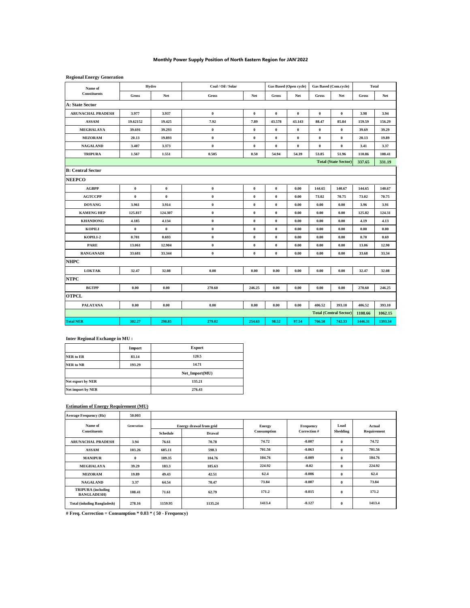## **Monthly Power Supply Position of North Eastern Region for JAN'2022**

#### **Regional Energy Generation**

| Name of                  | Hydro     |                  | Coal / Oil / Solar |                  | Gas Based (Open cycle) |                  | <b>Gas Based (Com.cycle)</b> |                               | <b>Total</b> |         |
|--------------------------|-----------|------------------|--------------------|------------------|------------------------|------------------|------------------------------|-------------------------------|--------------|---------|
| Constituents             | Gross     | Net              | Gross              | Net              | Gross                  | Net              | Gross                        | Net                           | Gross        | Net     |
| <b>A: State Sector</b>   |           |                  |                    |                  |                        |                  |                              |                               |              |         |
| <b>ARUNACHAL PRADESH</b> | 3.977     | 3.937            | $\bf{0}$           | $\bf{0}$         | $\bf{0}$               | $\bf{0}$         | $\bf{0}$                     | $\bf{0}$                      | 3.98         | 3.94    |
| <b>ASSAM</b>             | 19.62152  | 19.425           | 7.92               | 7.89             | 43.578                 | 43.143           | 88.47                        | 85.84                         | 159.59       | 156.29  |
| MEGHALAYA                | 39.691    | 39.293           | $\pmb{0}$          | $\pmb{0}$        | $\pmb{0}$              | $\boldsymbol{0}$ | $\boldsymbol{0}$             | $\pmb{0}$                     | 39.69        | 39.29   |
| <b>MIZORAM</b>           | 20.13     | 19.893           | $\pmb{0}$          | $\bf{0}$         | $\pmb{0}$              | $\boldsymbol{0}$ | $\pmb{0}$                    | $\pmb{0}$                     | 20.13        | 19.89   |
| <b>NAGALAND</b>          | 3.407     | 3.373            | $\pmb{0}$          | $\bf{0}$         | $\pmb{0}$              | $\boldsymbol{0}$ | $\boldsymbol{0}$             | $\pmb{0}$                     | 3.41         | 3.37    |
| <b>TRIPURA</b>           | 1.567     | 1.551            | 0.505              | 0.50             | 54.94                  | 54.39            | 53.85                        | 51.96                         | 110.86       | 108.41  |
|                          |           |                  |                    |                  |                        |                  |                              | <b>Total (State Sector)</b>   | 337.65       | 331.19  |
| <b>B: Central Sector</b> |           |                  |                    |                  |                        |                  |                              |                               |              |         |
| <b>NEEPCO</b>            |           |                  |                    |                  |                        |                  |                              |                               |              |         |
| <b>AGBPP</b>             | $\pmb{0}$ | $\boldsymbol{0}$ | $\boldsymbol{0}$   | $\boldsymbol{0}$ | $\pmb{0}$              | 0.00             | 144.65                       | 140.67                        | 144.65       | 140.67  |
| <b>AGTCCPP</b>           | $\bf{0}$  | $\bf{0}$         | $\pmb{0}$          | $\pmb{0}$        | $\pmb{0}$              | 0.00             | 73.02                        | 70.75                         | 73.02        | 70.75   |
| <b>DOYANG</b>            | 3.961     | 3.914            | $\pmb{0}$          | $\pmb{0}$        | $\pmb{0}$              | 0.00             | 0.00                         | 0.00                          | 3.96         | 3.91    |
| <b>KAMENG HEP</b>        | 125.817   | 124.307          | $\bf{0}$           | $\bf{0}$         | $\bf{0}$               | 0.00             | 0.00                         | 0.00                          | 125.82       | 124.31  |
| <b>KHANDONG</b>          | 4.185     | 4.134            | $\bf{0}$           | $\bf{0}$         | $\pmb{0}$              | 0.00             | 0.00                         | 0.00                          | 4.19         | 4.13    |
| <b>KOPILI</b>            | $\bf{0}$  | $\bf{0}$         | $\bf{0}$           | $\bf{0}$         | $\bf{0}$               | 0.00             | 0.00                         | 0.00                          | 0.00         | 0.00    |
| KOPILI-2                 | 0.701     | 0.693            | $\bf{0}$           | $\bf{0}$         | $\bf{0}$               | 0.00             | 0.00                         | 0.00                          | 0.70         | 0.69    |
| <b>PARE</b>              | 13.061    | 12.904           | $\bf{0}$           | $\bf{0}$         | $\bf{0}$               | 0.00             | 0.00                         | 0.00                          | 13.06        | 12.90   |
| <b>RANGANADI</b>         | 33.681    | 33.344           | $\pmb{0}$          | $\bf{0}$         | $\bf{0}$               | 0.00             | 0.00                         | 0.00                          | 33.68        | 33.34   |
| <b>NHPC</b>              |           |                  |                    |                  |                        |                  |                              |                               |              |         |
| <b>LOKTAK</b>            | 32.47     | 32.08            | 0.00               | 0.00             | 0.00                   | 0.00             | 0.00                         | 0.00                          | 32.47        | 32.08   |
| <b>NTPC</b>              |           |                  |                    |                  |                        |                  |                              |                               |              |         |
| <b>BGTPP</b>             | 0.00      | 0.00             | 270.60             | 246.25           | 0.00                   | 0.00             | 0.00                         | 0.00                          | 270.60       | 246.25  |
| <b>OTPCL</b>             |           |                  |                    |                  |                        |                  |                              |                               |              |         |
| <b>PALATANA</b>          | 0.00      | 0.00             | 0.00               | 0.00             | 0.00                   | 0.00             | 406.52                       | 393.10                        | 406.52       | 393.10  |
|                          |           |                  |                    |                  |                        |                  |                              | <b>Total (Central Sector)</b> | 1108.66      | 1062.15 |
| <b>Total NER</b>         | 302.27    | 298.85           | 279.02             | 254.63           | 98.52                  | 97.54            | 766.50                       | 742.33                        | 1446.31      | 1393.34 |

#### **Inter Regional Exchange in MU :**

|                   | Import | <b>Export</b>  |  |  |
|-------------------|--------|----------------|--|--|
| <b>NER</b> to ER  | 83.14  | 120.5          |  |  |
| <b>NER</b> to NR  | 193.29 | 14.71          |  |  |
|                   |        | Net Import(MU) |  |  |
| Net export by NER |        | 135.21         |  |  |
| Net import by NER |        | 276.43         |  |  |

## **Estimation of Energy Requirement (MU)**

| <b>Average Frequency (Hz)</b>                   | 50.003     |          |                                          |                              |                           |                  |                       |
|-------------------------------------------------|------------|----------|------------------------------------------|------------------------------|---------------------------|------------------|-----------------------|
| Name of<br><b>Constituents</b>                  | Generation | Schedule | <b>Energy drawal from grid</b><br>Drawal | <b>Energy</b><br>Consumption | Frequency<br>Correction # | Load<br>Shedding | Actual<br>Requirement |
| <b>ARUNACHAL PRADESH</b>                        | 3.94       | 76.61    | 70.78                                    | 74.72                        | $-0.007$                  | $\theta$         | 74.72                 |
| <b>ASSAM</b>                                    | 103.26     | 605.11   | 598.3                                    | 701.56                       | $-0.063$                  | $\theta$         | 701.56                |
| <b>MANIPUR</b>                                  | $\bf{0}$   | 109.35   | 104.76                                   | 104.76                       | $-0.009$                  | $\bf{0}$         | 104.76                |
| MEGHALAYA                                       | 39.29      | 183.3    | 185.63                                   | 224.92                       | $-0.02$                   | $\bf{0}$         | 224.92                |
| <b>MIZORAM</b>                                  | 19.89      | 49.43    | 42.51                                    | 62.4                         | $-0.006$                  | $\bf{0}$         | 62.4                  |
| <b>NAGALAND</b>                                 | 3.37       | 64.54    | 70.47                                    | 73.84                        | $-0.007$                  | $\bf{0}$         | 73.84                 |
| <b>TRIPURA</b> (including<br><b>BANGLADESH)</b> | 108.41     | 71.61    | 62.79                                    | 171.2                        | $-0.015$                  | $\bf{0}$         | 171.2                 |
| <b>Total (inluding Bangladesh)</b>              | 278.16     | 1159.95  | 1135.24                                  | 1413.4                       | $-0.127$                  | $\bf{0}$         | 1413.4                |

**# Freq. Correction = Consumption \* 0.03 \* ( 50 - Frequency)**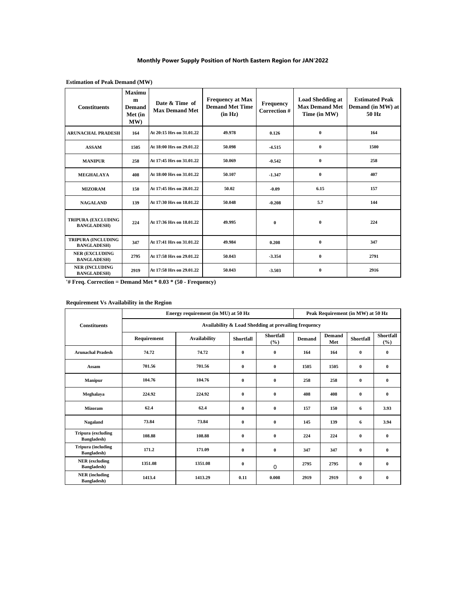#### **Monthly Power Supply Position of North Eastern Region for JAN'2022**

| <b>Constituents</b>                             | Maximu<br>m<br><b>Demand</b><br>Met (in<br>MW) | Date & Time of<br><b>Max Demand Met</b> | <b>Frequency at Max</b><br><b>Demand Met Time</b><br>(in Hz) | <b>Frequency</b><br>Correction # | <b>Load Shedding at</b><br><b>Max Demand Met</b><br>Time (in MW) | <b>Estimated Peak</b><br>Demand (in MW) at<br>50 Hz |
|-------------------------------------------------|------------------------------------------------|-----------------------------------------|--------------------------------------------------------------|----------------------------------|------------------------------------------------------------------|-----------------------------------------------------|
| <b>ARUNACHAL PRADESH</b>                        | 164                                            | At 20:15 Hrs on 31.01.22                | 49.978                                                       | 0.126                            | $\bf{0}$                                                         | 164                                                 |
| <b>ASSAM</b>                                    | 1505                                           | At 18:00 Hrs on 29.01.22                | 50.098                                                       | $-4.515$                         | $\bf{0}$                                                         | 1500                                                |
| <b>MANIPUR</b>                                  | 258                                            | At 17:45 Hrs on 31.01.22                | 50.069                                                       | $-0.542$                         | $\bf{0}$                                                         | 258                                                 |
| <b>MEGHALAYA</b>                                | 408                                            | At 18:00 Hrs on 31.01.22                | 50.107                                                       | $-1.347$                         | $\bf{0}$                                                         | 407                                                 |
| <b>MIZORAM</b>                                  | 150                                            | At 17:45 Hrs on 28.01.22                | 50.02                                                        | $-0.09$                          | 6.15                                                             | 157                                                 |
| <b>NAGALAND</b>                                 | 139                                            | At 17:30 Hrs on 18.01.22                | 50.048                                                       | $-0.208$                         | 5.7                                                              | 144                                                 |
| <b>TRIPURA (EXCLUDING</b><br><b>BANGLADESH)</b> | 224                                            | At 17:36 Hrs on 18.01.22                | 49.995                                                       | $\bf{0}$                         | $\mathbf{0}$                                                     | 224                                                 |
| <b>TRIPURA (INCLUDING</b><br><b>BANGLADESH)</b> | 347                                            | At 17:41 Hrs on 31.01.22                | 49.984                                                       | 0.208                            | $\mathbf{0}$                                                     | 347                                                 |
| <b>NER (EXCLUDING</b><br><b>BANGLADESH)</b>     | 2795                                           | At 17:58 Hrs on 29.01.22                | 50.043                                                       | -3.354                           | $\mathbf{0}$                                                     | 2791                                                |
| <b>NER (INCLUDING</b><br><b>BANGLADESH)</b>     | 2919                                           | At 17:58 Hrs on 29.01.22                | 50.043                                                       | $-3.503$                         | $\bf{0}$                                                         | 2916                                                |

## **Estimation of Peak Demand (MW)**

**'# Freq. Correction = Demand Met \* 0.03 \* (50 - Frequency)**

# **Requirement Vs Availability in the Region**

|                                              |                                                      | Energy requirement (in MU) at 50 Hz | Peak Requirement (in MW) at 50 Hz |                            |               |               |           |                         |  |  |  |  |
|----------------------------------------------|------------------------------------------------------|-------------------------------------|-----------------------------------|----------------------------|---------------|---------------|-----------|-------------------------|--|--|--|--|
| <b>Constituents</b>                          | Availability & Load Shedding at prevailing frequency |                                     |                                   |                            |               |               |           |                         |  |  |  |  |
|                                              | Requirement                                          | <b>Availability</b>                 | <b>Shortfall</b>                  | <b>Shortfall</b><br>$(\%)$ | <b>Demand</b> | Demand<br>Met | Shortfall | <b>Shortfall</b><br>(%) |  |  |  |  |
| <b>Arunachal Pradesh</b>                     | 74.72                                                | 74.72                               | $\bf{0}$                          | $\bf{0}$                   | 164           | 164           | $\bf{0}$  | $\bf{0}$                |  |  |  |  |
| Assam                                        | 701.56                                               | 701.56                              | $\bf{0}$                          | $\bf{0}$                   | 1505          | 1505          | $\bf{0}$  | $\bf{0}$                |  |  |  |  |
| <b>Manipur</b>                               | 104.76                                               | 104.76                              | $\mathbf{0}$                      | $\bf{0}$                   | 258           | 258           | $\bf{0}$  | $\bf{0}$                |  |  |  |  |
| Meghalaya                                    | 224.92                                               | 224.92                              | $\mathbf{0}$                      | $\bf{0}$                   | 408           | 408           | $\bf{0}$  | $\bf{0}$                |  |  |  |  |
| <b>Mizoram</b>                               | 62.4                                                 | 62.4                                | $\bf{0}$                          | $\bf{0}$                   | 157           | 150           | 6         | 3.93                    |  |  |  |  |
| Nagaland                                     | 73.84                                                | 73.84                               | $\bf{0}$                          | $\bf{0}$                   | 145           | 139           | 6         | 3.94                    |  |  |  |  |
| <b>Tripura</b> (excluding<br>Bangladesh)     | 108.88                                               | 108.88                              | $\bf{0}$                          | $\bf{0}$                   | 224           | 224           | $\bf{0}$  | $\bf{0}$                |  |  |  |  |
| <b>Tripura</b> (including<br>Bangladesh)     | 171.2                                                | 171.09                              | $\bf{0}$                          | $\bf{0}$                   | 347           | 347           | $\bf{0}$  | $\bf{0}$                |  |  |  |  |
| <b>NER</b> (excluding<br>Bangladesh)         | 1351.08                                              | 1351.08                             | $\mathbf{0}$                      | $\Omega$                   | 2795          | 2795          | $\bf{0}$  | $\bf{0}$                |  |  |  |  |
| <b>NER</b> (including<br><b>Bangladesh</b> ) | 1413.4                                               | 1413.29                             | 0.11                              | 0.008                      | 2919          | 2919          | $\bf{0}$  | $\bf{0}$                |  |  |  |  |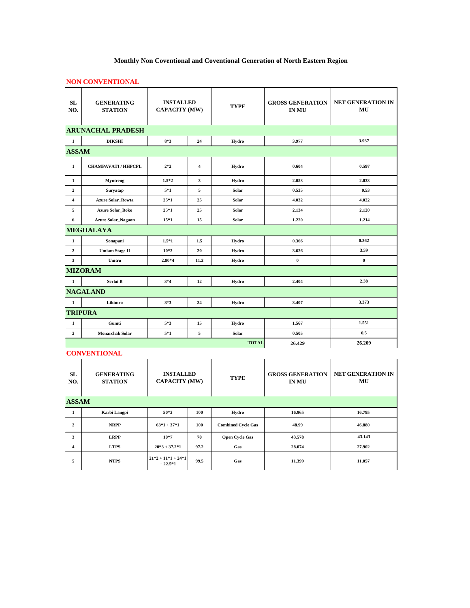# **Monthly Non Coventional and Coventional Generation of North Eastern Region**

## **NON CONVENTIONAL**

| <b>SL</b><br>NO.        | <b>GENERATING</b><br><b>STATION</b> | <b>INSTALLED</b><br><b>CAPACITY (MW)</b> |                         | <b>TYPE</b>  | <b>GROSS GENERATION</b><br><b>IN MU</b> | <b>NET GENERATION IN</b><br>MU |
|-------------------------|-------------------------------------|------------------------------------------|-------------------------|--------------|-----------------------------------------|--------------------------------|
|                         | <b>ARUNACHAL PRADESH</b>            |                                          |                         |              |                                         |                                |
| $\mathbf 1$             | <b>DIKSHI</b>                       | $8*3$                                    | 24                      | Hydro        | 3.977                                   | 3.937                          |
| <b>ASSAM</b>            |                                     |                                          |                         |              |                                         |                                |
| $\mathbf{1}$            | <b>CHAMPAVATI / HHPCPL</b>          | $2*2$                                    | $\overline{\bf{4}}$     | Hydro        | 0.604                                   | 0.597                          |
| 1                       | Myntreng                            | $1.5*2$                                  | $\overline{\mathbf{3}}$ | Hydro        | 2.053                                   | 2.033                          |
| $\overline{2}$          | Suryatap                            | $5*1$                                    | 5                       | Solar        | 0.535                                   | 0.53                           |
| $\overline{\mathbf{4}}$ | <b>Azure Solar Rowta</b>            | $25*1$                                   | 25                      | Solar        | 4.032                                   | 4.022                          |
| 5                       | <b>Azure Solar Boko</b>             | $25*1$                                   | 25                      | Solar        | 2.134                                   | 2.120                          |
| 6                       | <b>Azure Solar_Nagaon</b>           | $15*1$                                   | 15                      | Solar        | 1.220                                   | 1.214                          |
|                         | <b>MEGHALAYA</b>                    |                                          |                         |              |                                         |                                |
| $\mathbf{1}$            | Sonapani                            | $1.5*1$                                  | 1.5                     | Hydro        | 0.366                                   | 0.362                          |
| $\overline{2}$          | <b>Umiam Stage II</b>               | $10*2$                                   | 20                      | Hydro        | 3.626                                   | 3.59                           |
| $\overline{\mathbf{3}}$ | Umtru                               | $2.80*4$                                 | 11.2                    | Hydro        | $\boldsymbol{0}$                        | $\bf{0}$                       |
|                         | <b>MIZORAM</b>                      |                                          |                         |              |                                         |                                |
| $\mathbf{1}$            | Serlui B                            | $3*4$                                    | 12                      | Hydro        | 2.404                                   | 2.38                           |
|                         | <b>NAGALAND</b>                     |                                          |                         |              |                                         |                                |
| $\mathbf{1}$            | Likimro                             | $8*3$                                    | 24                      | Hydro        | 3.407                                   | 3.373                          |
|                         | <b>TRIPURA</b>                      |                                          |                         |              |                                         |                                |
| 1                       | Gumti                               | 5*3                                      | 15                      | Hydro        | 1.567                                   | 1.551                          |
| $\overline{2}$          | <b>Monarchak Solar</b>              | $5*1$                                    | 5                       | Solar        | 0.505                                   | 0.5                            |
|                         |                                     |                                          |                         | <b>TOTAL</b> | 26.429                                  | 26.209                         |

## **CONVENTIONAL**

| <b>SL</b><br>NO. | <b>GENERATING</b><br><b>STATION</b> | <b>INSTALLED</b><br><b>CAPACITY (MW)</b> |      | <b>TYPE</b>               | <b>GROSS GENERATION</b><br><b>IN MU</b> | <b>NET GENERATION IN</b><br>MU |
|------------------|-------------------------------------|------------------------------------------|------|---------------------------|-----------------------------------------|--------------------------------|
| <b>ASSAM</b>     |                                     |                                          |      |                           |                                         |                                |
| 1                | Karbi Langpi                        | 50*2                                     | 100  | Hydro                     | 16.965                                  | 16.795                         |
| $\mathbf{2}$     | <b>NRPP</b>                         | $63*1+37*1$                              | 100  | <b>Combined Cycle Gas</b> | 48.99                                   | 46.880                         |
| 3                | <b>LRPP</b>                         | $10*7$                                   | 70   | <b>Open Cycle Gas</b>     | 43.578                                  | 43.143                         |
| 4                | <b>LTPS</b>                         | $20*3 + 37.2*1$                          | 97.2 | Gas                       | 28.074                                  | 27.902                         |
| 5                | <b>NTPS</b>                         | $21*2 + 11*1 + 24*1$<br>$+22.5*1$        | 99.5 | Gas                       | 11.399                                  | 11.057                         |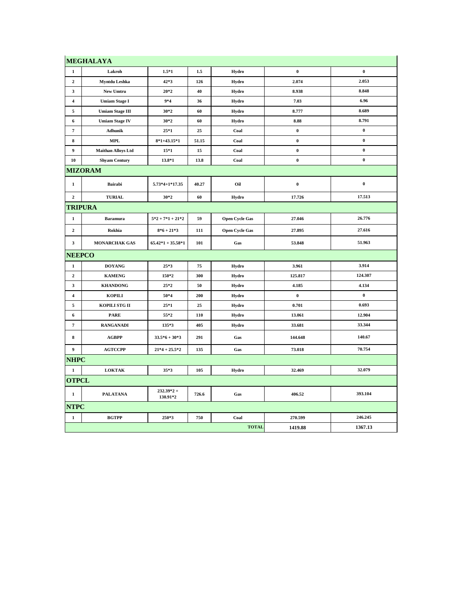|                         | <b>MEGHALAYA</b>          |                          |       |                       |           |                  |
|-------------------------|---------------------------|--------------------------|-------|-----------------------|-----------|------------------|
| $\mathbf{1}$            | Lakroh                    | $1.5*1$                  | 1.5   | Hydro                 | $\pmb{0}$ | $\boldsymbol{0}$ |
| $\mathbf{2}$            | Myntdu Leshka             | 42*3                     | 126   | Hydro                 | 2.074     | 2.053            |
| 3                       | New Umtru                 | $20*2$                   | 40    | Hydro                 | 8.938     | 8.848            |
| 4                       | <b>Umiam Stage I</b>      | $9*4$                    | 36    | Hydro                 | 7.03      | 6.96             |
| 5                       | <b>Umiam Stage III</b>    | $30*2$                   | 60    | Hydro                 | 8.777     | 8.689            |
| 6                       | <b>Umiam Stage IV</b>     | $30*2$                   | 60    | Hydro                 | 8.88      | 8.791            |
| $\pmb{7}$               | Adhunik                   | $25*1$                   | 25    | Coal                  | $\pmb{0}$ | $\pmb{0}$        |
| 8                       | $\bf MPI$                 | $8*1+43.15*1$            | 51.15 | Coal                  | $\pmb{0}$ | $\bf{0}$         |
| 9                       | <b>Maithan Alloys Ltd</b> | $15*1$                   | 15    | Coal                  | $\pmb{0}$ | $\bf{0}$         |
| 10                      | <b>Shyam Century</b>      | 13.8*1                   | 13.8  | Coal                  | $\bf{0}$  | $\bf{0}$         |
|                         | <b>MIZORAM</b>            |                          |       |                       |           |                  |
| $\mathbf{1}$            | <b>Bairabi</b>            | $5.73*4+1*17.35$         | 40.27 | Oil                   | $\pmb{0}$ | $\pmb{0}$        |
| $\overline{2}$          | <b>TURIAL</b>             | $30*2$                   | 60    | Hydro                 | 17.726    | 17.513           |
|                         | TRIPURA                   |                          |       |                       |           |                  |
| $\mathbf 1$             | <b>Baramura</b>           | $5*2+7*1+21*2$           | 59    | Open Cycle Gas        | 27.046    | 26.776           |
| $\overline{2}$          | Rokhia                    | $8*6+21*3$               | 111   | <b>Open Cycle Gas</b> | 27.895    | 27.616           |
| 3                       | <b>MONARCHAK GAS</b>      | $65.42*1 + 35.58*1$      | 101   | Gas                   | 53.848    | 51.963           |
| <b>NEEPCO</b>           |                           |                          |       |                       |           |                  |
| 1                       | <b>DOYANG</b>             | $25*3$                   | 75    | Hydro                 | 3.961     | 3.914            |
| 2                       | <b>KAMENG</b>             | 150*2                    | 300   | Hydro                 | 125.817   | 124.307          |
| $\mathbf{3}$            | <b>KHANDONG</b>           | $25*2$                   | 50    | Hydro                 | 4.185     | 4.134            |
| $\overline{\mathbf{4}}$ | <b>KOPILI</b>             | $50*4$                   | 200   | Hydro                 | $\pmb{0}$ | $\bf{0}$         |
| 5                       | KOPILI STG II             | $25*1$                   | 25    | Hydro                 | 0.701     | 0.693            |
| 6                       | <b>PARE</b>               | 55*2                     | 110   | Hydro                 | 13.061    | 12.904           |
| $\overline{7}$          | <b>RANGANADI</b>          | 135*3                    | 405   | Hydro                 | 33.681    | 33.344           |
| 8                       | <b>AGBPP</b>              | $33.5*6 + 30*3$          | 291   | Gas                   | 144.648   | 140.67           |
| 9                       | <b>AGTCCPP</b>            | $21*4 + 25.5*2$          | 135   | Gas                   | 73.018    | 70.754           |
| <b>NHPC</b>             |                           |                          |       |                       |           |                  |
| 1                       | <b>LOKTAK</b>             | $35*3$                   | 105   | Hydro                 | 32.469    | 32.079           |
| <b>OTPCL</b>            |                           |                          |       |                       |           |                  |
| 1                       | <b>PALATANA</b>           | $232.39*2 +$<br>130.91*2 | 726.6 | Gas                   | 406.52    | 393.104          |
| <b>NTPC</b>             |                           |                          |       |                       |           |                  |
| $\mathbf{1}$            | <b>BGTPP</b>              | 250*3                    | 750   | Coal                  | 270.599   | 246.245          |
|                         |                           |                          |       | <b>TOTAL</b>          | 1419.88   | 1367.13          |